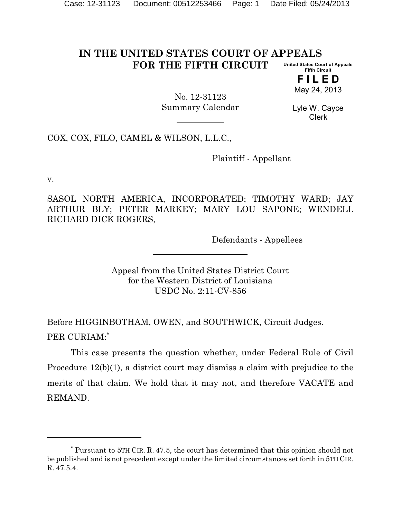#### **IN THE UNITED STATES COURT OF APPEALS FOR THE FIFTH CIRCUIT United States Court of Appeals Fifth Circuit**

**F I L E D** May 24, 2013

No. 12-31123 Summary Calendar

Lyle W. Cayce Clerk

COX, COX, FILO, CAMEL & WILSON, L.L.C.,

Plaintiff - Appellant

v.

SASOL NORTH AMERICA, INCORPORATED; TIMOTHY WARD; JAY ARTHUR BLY; PETER MARKEY; MARY LOU SAPONE; WENDELL RICHARD DICK ROGERS,

Defendants - Appellees

Appeal from the United States District Court for the Western District of Louisiana USDC No. 2:11-CV-856

Before HIGGINBOTHAM, OWEN, and SOUTHWICK, Circuit Judges. PER CURIAM:\*

This case presents the question whether, under Federal Rule of Civil Procedure 12(b)(1), a district court may dismiss a claim with prejudice to the merits of that claim. We hold that it may not, and therefore VACATE and REMAND.

<sup>\*</sup> Pursuant to 5TH CIR. R. 47.5, the court has determined that this opinion should not be published and is not precedent except under the limited circumstances set forth in 5TH CIR. R. 47.5.4.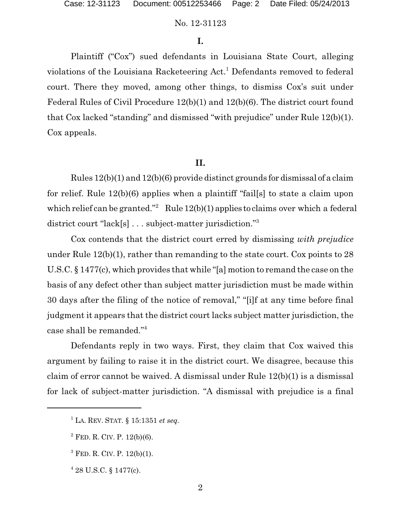# No. 12-31123

# **I.**

Plaintiff ("Cox") sued defendants in Louisiana State Court, alleging violations of the Louisiana Racketeering Act.<sup>1</sup> Defendants removed to federal court. There they moved, among other things, to dismiss Cox's suit under Federal Rules of Civil Procedure 12(b)(1) and 12(b)(6). The district court found that Cox lacked "standing" and dismissed "with prejudice" under Rule 12(b)(1). Cox appeals.

#### **II.**

Rules 12(b)(1) and 12(b)(6) provide distinct grounds for dismissal of a claim for relief. Rule 12(b)(6) applies when a plaintiff "fail[s] to state a claim upon which relief can be granted." Rule  $12(b)(1)$  applies to claims over which a federal district court "lack[s] . . . subject-matter jurisdiction."<sup>3</sup>

Cox contends that the district court erred by dismissing *with prejudice* under Rule 12(b)(1), rather than remanding to the state court. Cox points to 28 U.S.C. § 1477(c), which provides that while "[a] motion to remand the case on the basis of any defect other than subject matter jurisdiction must be made within 30 days after the filing of the notice of removal," "[i]f at any time before final judgment it appears that the district court lacks subject matter jurisdiction, the case shall be remanded."<sup>4</sup>

Defendants reply in two ways. First, they claim that Cox waived this argument by failing to raise it in the district court. We disagree, because this claim of error cannot be waived. A dismissal under Rule 12(b)(1) is a dismissal for lack of subject-matter jurisdiction. "A dismissal with prejudice is a final

- $3$  FED. R. CIV. P. 12(b)(1).
- $428$  U.S.C. § 1477(c).

 $^{1}$  LA. REV. STAT.  $\S$  15:1351 *et seq.* 

 $2$  FED. R. CIV. P. 12(b)(6).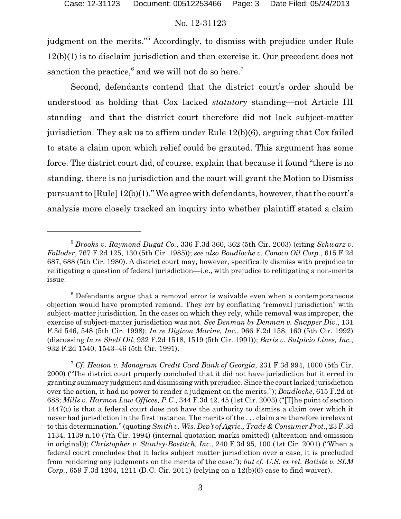### No. 12-31123

judgment on the merits."<sup>5</sup> Accordingly, to dismiss with prejudice under Rule 12(b)(1) is to disclaim jurisdiction and then exercise it. Our precedent does not sanction the practice,<sup>6</sup> and we will not do so here.<sup>7</sup>

Second, defendants contend that the district court's order should be understood as holding that Cox lacked *statutory* standing—not Article III standing—and that the district court therefore did not lack subject-matter jurisdiction. They ask us to affirm under Rule 12(b)(6), arguing that Cox failed to state a claim upon which relief could be granted. This argument has some force. The district court did, of course, explain that because it found "there is no standing, there is no jurisdiction and the court will grant the Motion to Dismiss pursuant to [Rule] 12(b)(1)." We agree with defendants, however, that the court's analysis more closely tracked an inquiry into whether plaintiff stated a claim

<sup>5</sup> *Brooks v. Raymond Dugat Co.*, 336 F.3d 360, 362 (5th Cir. 2003) (citing *Schwarz v. Folloder*, 767 F.2d 125, 130 (5th Cir. 1985)); *see also Boudloche v. Conoco Oil Corp.*, 615 F.2d 687, 688 (5th Cir. 1980). A district court may, however, specifically dismiss with prejudice to relitigating a question of federal jurisdiction—i.e., with prejudice to relitigating a non-merits issue.

 $6$  Defendants argue that a removal error is waivable even when a contemporaneous objection would have prompted remand. They err by conflating "removal jurisdiction" with subject-matter jurisdiction. In the cases on which they rely, while removal was improper, the exercise of subject-matter jurisdiction was not. *See Denman by Denman v. Snapper Div.*, 131 F.3d 546, 548 (5th Cir. 1998); *In re Digicon Marine, Inc.*, 966 F.2d 158, 160 (5th Cir. 1992) (discussing *In re Shell Oil*, 932 F.2d 1518, 1519 (5th Cir. 1991)); *Baris v. Sulpicio Lines, Inc.*, 932 F.2d 1540, 1543–46 (5th Cir. 1991).

<sup>7</sup> *Cf. Heaton v. Monogram Credit Card Bank of Georgia*, 231 F.3d 994, 1000 (5th Cir. 2000) ("The district court properly concluded that it did not have jurisdiction but it erred in granting summary judgment and dismissing with prejudice. Since the courtlacked jurisdiction over the action, it had no power to render a judgment on the merits."); *Boudloche*, 615 F.2d at 688; *Mills v. Harmon Law Offices, P.C.*, 344 F.3d 42, 45 (1st Cir. 2003) ("[T]he point of section 1447(c) is that a federal court does not have the authority to dismiss a claim over which it never had jurisdiction in the first instance. The merits of the . . . claim are therefore irrelevant to this determination." (quoting *Smith v. Wis. Dep't of Agric., Trade & Consumer Prot.*, 23 F.3d 1134, 1139 n.10 (7th Cir. 1994) (internal quotation marks omitted) (alteration and omission in original)); *Christopher v. Stanley-Bostitch, Inc.*, 240 F.3d 95, 100 (1st Cir. 2001) ("When a federal court concludes that it lacks subject matter jurisdiction over a case, it is precluded from rendering any judgments on the merits of the case."); *but cf. U.S. ex rel. Batiste v. SLM Corp.*, 659 F.3d 1204, 1211 (D.C. Cir. 2011) (relying on a 12(b)(6) case to find waiver).